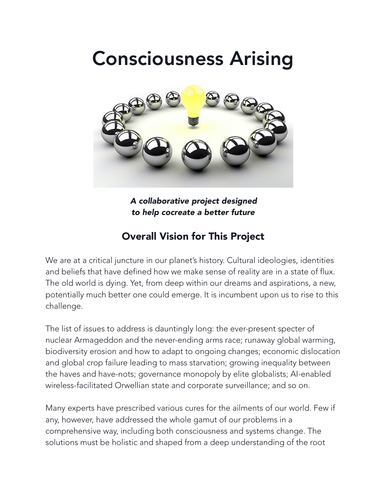# Consciousness Arising



*A collaborative project designed to help cocreate a better future*

# Overall Vision for This Project

We are at a critical juncture in our planet's history. Cultural ideologies, identities and beliefs that have defined how we make sense of reality are in a state of flux. The old world is dying. Yet, from deep within our dreams and aspirations, a new, potentially much better one could emerge. It is incumbent upon us to rise to this challenge.

The list of issues to address is dauntingly long: the ever-present specter of nuclear Armageddon and the never-ending arms race; runaway global warming, biodiversity erosion and how to adapt to ongoing changes; economic dislocation and global crop failure leading to mass starvation; growing inequality between the haves and have-nots; governance monopoly by elite globalists; AI-enabled wireless-facilitated Orwellian state and corporate surveillance; and so on.

Many experts have prescribed various cures for the ailments of our world. Few if any, however, have addressed the whole gamut of our problems in a comprehensive way, including both consciousness and systems change. The solutions must be holistic and shaped from a deep understanding of the root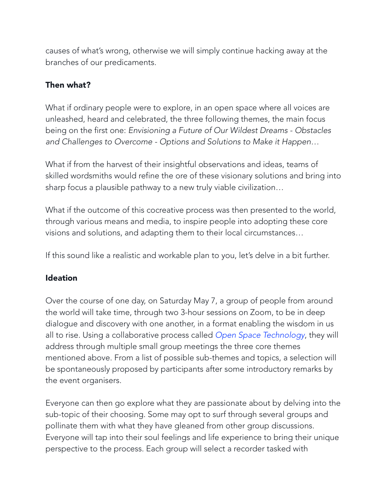causes of what's wrong, otherwise we will simply continue hacking away at the branches of our predicaments.

## Then what?

What if ordinary people were to explore, in an open space where all voices are unleashed, heard and celebrated, the three following themes, the main focus being on the first one: *Envisioning a Future of Our Wildest Dreams - Obstacles and Challenges to Overcome - Options and Solutions to Make it Happen…* 

What if from the harvest of their insightful observations and ideas, teams of skilled wordsmiths would refine the ore of these visionary solutions and bring into sharp focus a plausible pathway to a new truly viable civilization…

What if the outcome of this cocreative process was then presented to the world, through various means and media, to inspire people into adopting these core visions and solutions, and adapting them to their local circumstances…

If this sound like a realistic and workable plan to you, let's delve in a bit further.

### **Ideation**

Over the course of one day, on Saturday May 7, a group of people from around the world will take time, through two 3-hour sessions on Zoom, to be in deep dialogue and discovery with one another, in a format enabling the wisdom in us all to rise. Using a collaborative process called *[Open Space Technology](https://openspaceworld.org/wp2/what-is/)*, they will address through multiple small group meetings the three core themes mentioned above. From a list of possible sub-themes and topics, a selection will be spontaneously proposed by participants after some introductory remarks by the event organisers.

Everyone can then go explore what they are passionate about by delving into the sub-topic of their choosing. Some may opt to surf through several groups and pollinate them with what they have gleaned from other group discussions. Everyone will tap into their soul feelings and life experience to bring their unique perspective to the process. Each group will select a recorder tasked with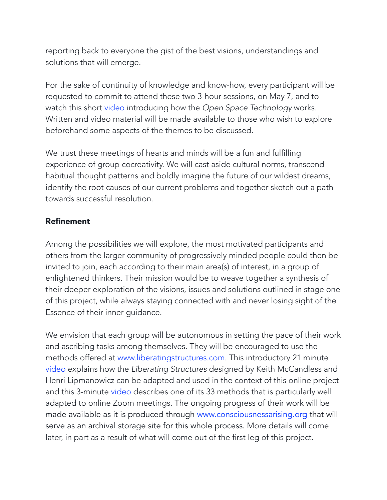reporting back to everyone the gist of the best visions, understandings and solutions that will emerge.

For the sake of continuity of knowledge and know-how, every participant will be requested to commit to attend these two 3-hour sessions, on May 7, and to watch this short [video](https://youtu.be/XCPZ5iQLlnA) introducing how the *Open Space Technology* works. Written and video material will be made available to those who wish to explore beforehand some aspects of the themes to be discussed.

We trust these meetings of hearts and minds will be a fun and fulfilling experience of group cocreativity. We will cast aside cultural norms, transcend habitual thought patterns and boldly imagine the future of our wildest dreams, identify the root causes of our current problems and together sketch out a path towards successful resolution.

#### Refinement

Among the possibilities we will explore, the most motivated participants and others from the larger community of progressively minded people could then be invited to join, each according to their main area(s) of interest, in a group of enlightened thinkers. Their mission would be to weave together a synthesis of their deeper exploration of the visions, issues and solutions outlined in stage one of this project, while always staying connected with and never losing sight of the Essence of their inner guidance.

We envision that each group will be autonomous in setting the pace of their work and ascribing tasks among themselves. They will be encouraged to use the methods offered at [www.liberatingstructures.com.](http://www.liberatingstructures.com/) This introductory 21 minute [video](https://youtu.be/mILdXSSLXVc) explains how the *Liberating Structures* designed by Keith McCandless and Henri Lipmanowicz can be adapted and used in the context of this online project and this 3-minute [video](https://youtu.be/fwtAwgPRVbY) describes one of its 33 methods that is particularly well adapted to online Zoom meetings. The ongoing progress of their work will be made available as it is produced through [www.consciousnessarising.org](https://consciousnessarising.org/) that will serve as an archival storage site for this whole process. More details will come later, in part as a result of what will come out of the first leg of this project.